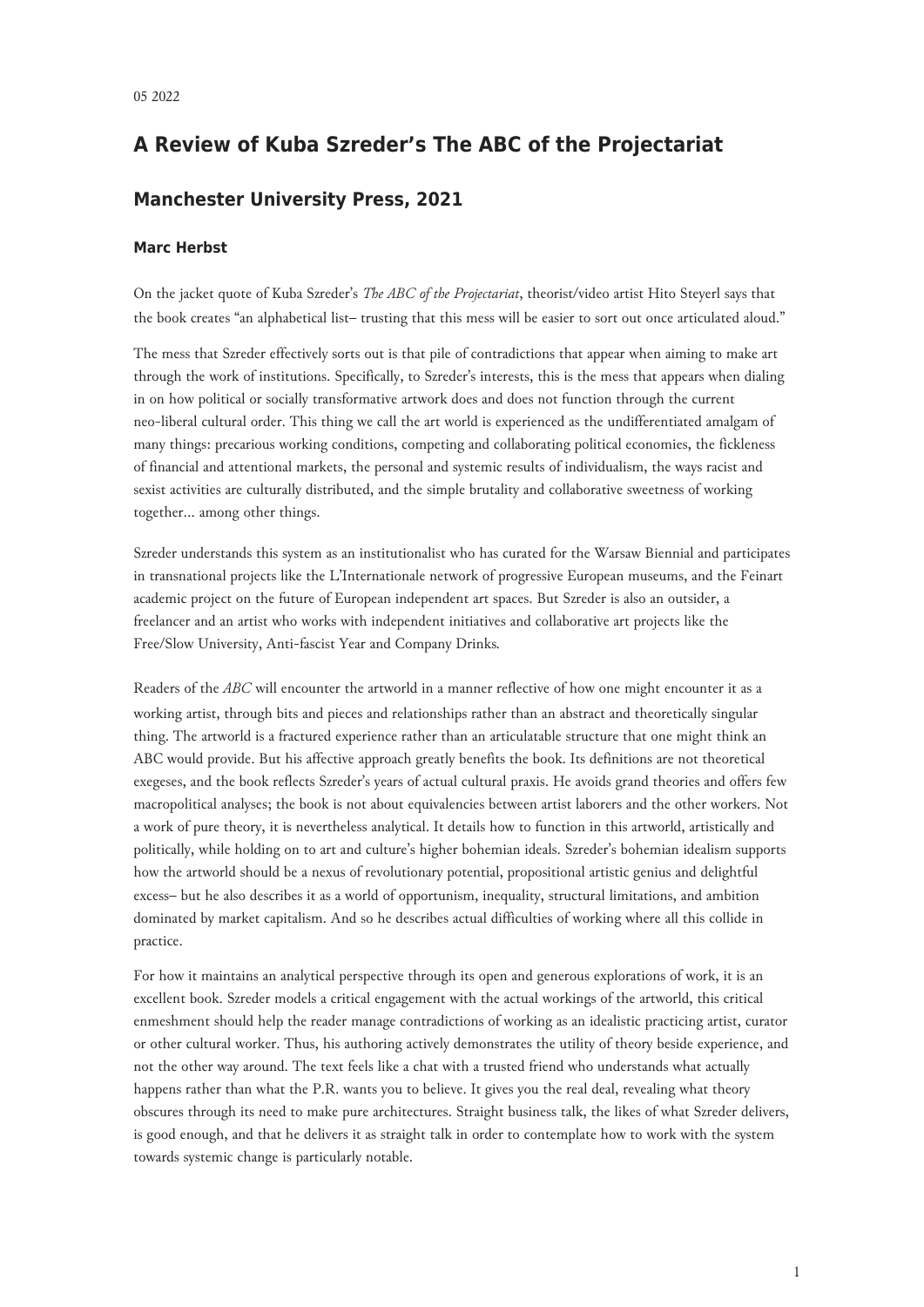## **A Review of Kuba Szreder's The ABC of the Projectariat**

## **Manchester University Press, 2021**

## **Marc Herbst**

On the jacket quote of Kuba Szreder's *The ABC of the Projectariat*, theorist/video artist Hito Steyerl says that the book creates "an alphabetical list– trusting that this mess will be easier to sort out once articulated aloud."

The mess that Szreder effectively sorts out is that pile of contradictions that appear when aiming to make art through the work of institutions. Specifically, to Szreder's interests, this is the mess that appears when dialing in on how political or socially transformative artwork does and does not function through the current neo-liberal cultural order. This thing we call the art world is experienced as the undifferentiated amalgam of many things: precarious working conditions, competing and collaborating political economies, the fickleness of financial and attentional markets, the personal and systemic results of individualism, the ways racist and sexist activities are culturally distributed, and the simple brutality and collaborative sweetness of working together… among other things.

Szreder understands this system as an institutionalist who has curated for the Warsaw Biennial and participates in transnational projects like the L'Internationale network of progressive European museums, and the Feinart academic project on the future of European independent art spaces. But Szreder is also an outsider, a freelancer and an artist who works with independent initiatives and collaborative art projects like the Free/Slow University, Anti-fascist Year and Company Drinks*.*

Readers of the *ABC* will encounter the artworld in a manner reflective of how one might encounter it as a working artist, through bits and pieces and relationships rather than an abstract and theoretically singular thing. The artworld is a fractured experience rather than an articulatable structure that one might think an ABC would provide. But his affective approach greatly benefits the book. Its definitions are not theoretical exegeses, and the book reflects Szreder's years of actual cultural praxis. He avoids grand theories and offers few macropolitical analyses; the book is not about equivalencies between artist laborers and the other workers. Not a work of pure theory, it is nevertheless analytical. It details how to function in this artworld, artistically and politically, while holding on to art and culture's higher bohemian ideals. Szreder's bohemian idealism supports how the artworld should be a nexus of revolutionary potential, propositional artistic genius and delightful excess– but he also describes it as a world of opportunism, inequality, structural limitations, and ambition dominated by market capitalism. And so he describes actual difficulties of working where all this collide in practice.

For how it maintains an analytical perspective through its open and generous explorations of work, it is an excellent book. Szreder models a critical engagement with the actual workings of the artworld, this critical enmeshment should help the reader manage contradictions of working as an idealistic practicing artist, curator or other cultural worker. Thus, his authoring actively demonstrates the utility of theory beside experience, and not the other way around. The text feels like a chat with a trusted friend who understands what actually happens rather than what the P.R. wants you to believe. It gives you the real deal, revealing what theory obscures through its need to make pure architectures. Straight business talk, the likes of what Szreder delivers, is good enough, and that he delivers it as straight talk in order to contemplate how to work with the system towards systemic change is particularly notable.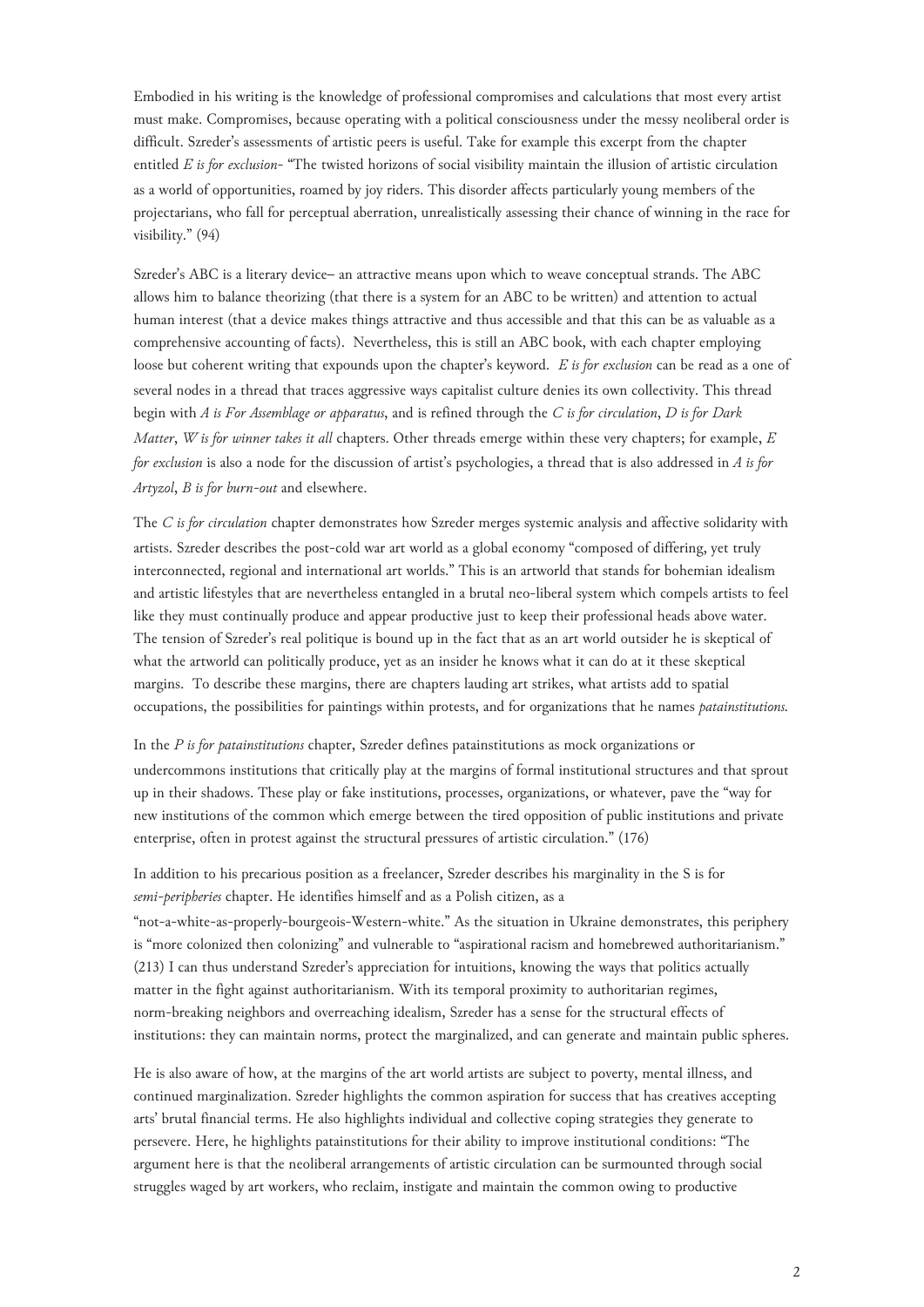Embodied in his writing is the knowledge of professional compromises and calculations that most every artist must make. Compromises, because operating with a political consciousness under the messy neoliberal order is difficult. Szreder's assessments of artistic peers is useful. Take for example this excerpt from the chapter entitled *E is for exclusion*- "The twisted horizons of social visibility maintain the illusion of artistic circulation as a world of opportunities, roamed by joy riders. This disorder affects particularly young members of the projectarians, who fall for perceptual aberration, unrealistically assessing their chance of winning in the race for visibility." (94)

Szreder's ABC is a literary device– an attractive means upon which to weave conceptual strands. The ABC allows him to balance theorizing (that there is a system for an ABC to be written) and attention to actual human interest (that a device makes things attractive and thus accessible and that this can be as valuable as a comprehensive accounting of facts). Nevertheless, this is still an ABC book, with each chapter employing loose but coherent writing that expounds upon the chapter's keyword. *E is for exclusion* can be read as a one of several nodes in a thread that traces aggressive ways capitalist culture denies its own collectivity. This thread begin with *A is For Assemblage or apparatus*, and is refined through the *C is for circulation*, *D is for Dark Matter*, *W is for winner takes it all* chapters. Other threads emerge within these very chapters; for example, *E for exclusion* is also a node for the discussion of artist's psychologies, a thread that is also addressed in *A is for Artyzol*, *B is for burn-out* and elsewhere.

The *C is for circulation* chapter demonstrates how Szreder merges systemic analysis and affective solidarity with artists. Szreder describes the post-cold war art world as a global economy "composed of differing, yet truly interconnected, regional and international art worlds." This is an artworld that stands for bohemian idealism and artistic lifestyles that are nevertheless entangled in a brutal neo-liberal system which compels artists to feel like they must continually produce and appear productive just to keep their professional heads above water. The tension of Szreder's real politique is bound up in the fact that as an art world outsider he is skeptical of what the artworld can politically produce, yet as an insider he knows what it can do at it these skeptical margins. To describe these margins, there are chapters lauding art strikes, what artists add to spatial occupations, the possibilities for paintings within protests, and for organizations that he names *patainstitutions.*

In the *P is for patainstitutions* chapter, Szreder defines patainstitutions as mock organizations or undercommons institutions that critically play at the margins of formal institutional structures and that sprout up in their shadows. These play or fake institutions, processes, organizations, or whatever, pave the "way for new institutions of the common which emerge between the tired opposition of public institutions and private enterprise, often in protest against the structural pressures of artistic circulation." (176)

In addition to his precarious position as a freelancer, Szreder describes his marginality in the S is for *semi-peripheries* chapter. He identifies himself and as a Polish citizen, as a

"not-a-white-as-properly-bourgeois-Western-white." As the situation in Ukraine demonstrates, this periphery is "more colonized then colonizing" and vulnerable to "aspirational racism and homebrewed authoritarianism." (213) I can thus understand Szreder's appreciation for intuitions, knowing the ways that politics actually matter in the fight against authoritarianism. With its temporal proximity to authoritarian regimes, norm-breaking neighbors and overreaching idealism, Szreder has a sense for the structural effects of institutions: they can maintain norms, protect the marginalized, and can generate and maintain public spheres.

He is also aware of how, at the margins of the art world artists are subject to poverty, mental illness, and continued marginalization. Szreder highlights the common aspiration for success that has creatives accepting arts' brutal financial terms. He also highlights individual and collective coping strategies they generate to persevere. Here, he highlights patainstitutions for their ability to improve institutional conditions: "The argument here is that the neoliberal arrangements of artistic circulation can be surmounted through social struggles waged by art workers, who reclaim, instigate and maintain the common owing to productive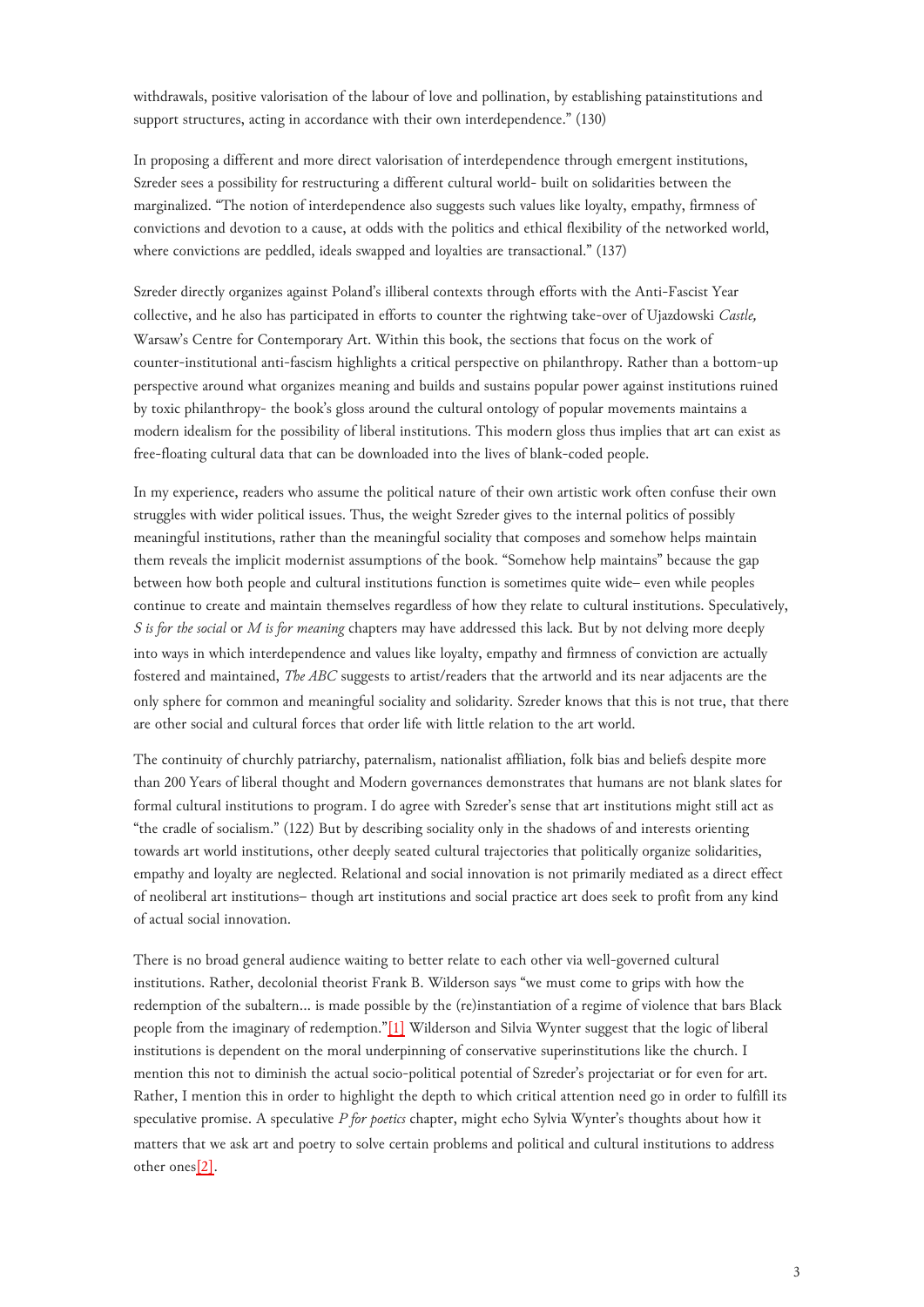withdrawals, positive valorisation of the labour of love and pollination, by establishing patainstitutions and support structures, acting in accordance with their own interdependence." (130)

In proposing a different and more direct valorisation of interdependence through emergent institutions, Szreder sees a possibility for restructuring a different cultural world- built on solidarities between the marginalized. "The notion of interdependence also suggests such values like loyalty, empathy, firmness of convictions and devotion to a cause, at odds with the politics and ethical flexibility of the networked world, where convictions are peddled, ideals swapped and loyalties are transactional." (137)

Szreder directly organizes against Poland's illiberal contexts through efforts with the Anti-Fascist Year collective, and he also has participated in efforts to counter the rightwing take-over of Ujazdowski *Castle,* Warsaw's Centre for Contemporary Art. Within this book, the sections that focus on the work of counter-institutional anti-fascism highlights a critical perspective on philanthropy. Rather than a bottom-up perspective around what organizes meaning and builds and sustains popular power against institutions ruined by toxic philanthropy- the book's gloss around the cultural ontology of popular movements maintains a modern idealism for the possibility of liberal institutions. This modern gloss thus implies that art can exist as free-floating cultural data that can be downloaded into the lives of blank-coded people.

In my experience, readers who assume the political nature of their own artistic work often confuse their own struggles with wider political issues. Thus, the weight Szreder gives to the internal politics of possibly meaningful institutions, rather than the meaningful sociality that composes and somehow helps maintain them reveals the implicit modernist assumptions of the book. "Somehow help maintains" because the gap between how both people and cultural institutions function is sometimes quite wide– even while peoples continue to create and maintain themselves regardless of how they relate to cultural institutions. Speculatively, *S is for the social* or *M is for meaning* chapters may have addressed this lack*.* But by not delving more deeply into ways in which interdependence and values like loyalty, empathy and firmness of conviction are actually fostered and maintained, *The ABC* suggests to artist/readers that the artworld and its near adjacents are the only sphere for common and meaningful sociality and solidarity. Szreder knows that this is not true, that there are other social and cultural forces that order life with little relation to the art world.

The continuity of churchly patriarchy, paternalism, nationalist affiliation, folk bias and beliefs despite more than 200 Years of liberal thought and Modern governances demonstrates that humans are not blank slates for formal cultural institutions to program. I do agree with Szreder's sense that art institutions might still act as "the cradle of socialism." (122) But by describing sociality only in the shadows of and interests orienting towards art world institutions, other deeply seated cultural trajectories that politically organize solidarities, empathy and loyalty are neglected. Relational and social innovation is not primarily mediated as a direct effect of neoliberal art institutions– though art institutions and social practice art does seek to profit from any kind of actual social innovation.

<span id="page-2-0"></span>There is no broad general audience waiting to better relate to each other via well-governed cultural institutions. Rather, decolonial theorist Frank B. Wilderson says "we must come to grips with how the redemption of the subaltern… is made possible by the (re)instantiation of a regime of violence that bars Black people from the imaginary of redemption."[\[1\]](#page-3-0) Wilderson and Silvia Wynter suggest that the logic of liberal institutions is dependent on the moral underpinning of conservative superinstitutions like the church. I mention this not to diminish the actual socio-political potential of Szreder's projectariat or for even for art. Rather, I mention this in order to highlight the depth to which critical attention need go in order to fulfill its speculative promise. A speculative *P for poetics* chapter, might echo Sylvia Wynter's thoughts about how it matters that we ask art and poetry to solve certain problems and political and cultural institutions to address other one[s\[2\].](#page-3-1)